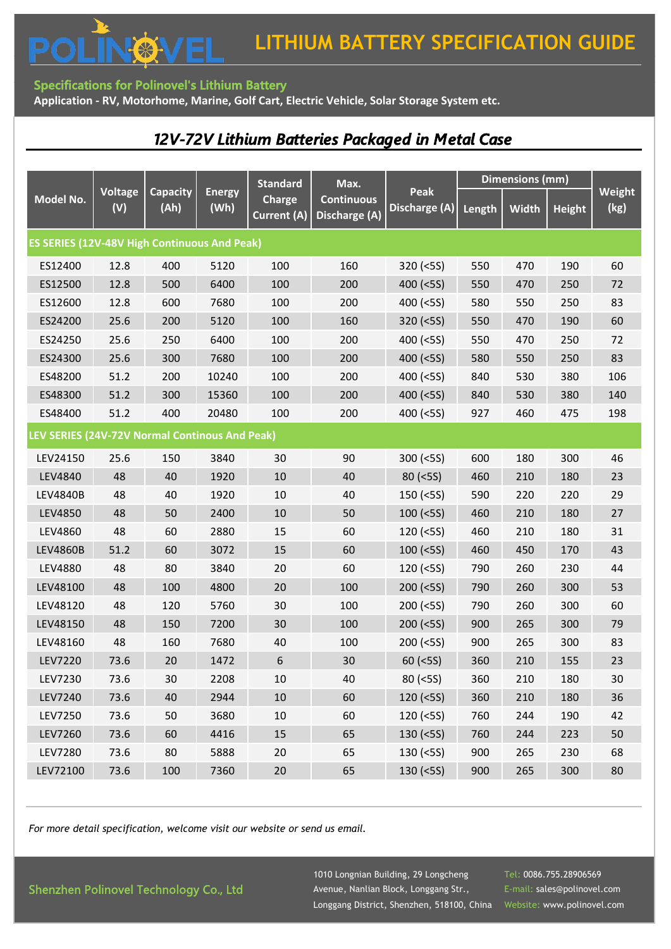# **LITHIUM BATTERY SPECIFICATION GUIDE** 後し

#### **Specifications for Polinovel's Lithium Battery**

**Application - RV, Motorhome, Marine, Golf Cart, Electric Vehicle, Solar Storage System etc.**

## *12V-72V Lithium Batteries Packaged in Metal Case*

|                                                |                |                         |                       | <b>Standard</b>              | Max.                               |                                  | <b>Dimensions (mm)</b> |              |               |                |
|------------------------------------------------|----------------|-------------------------|-----------------------|------------------------------|------------------------------------|----------------------------------|------------------------|--------------|---------------|----------------|
| Model No.                                      | Voltage<br>(V) | <b>Capacity</b><br>(Ah) | <b>Energy</b><br>(Wh) | Charge<br><b>Current (A)</b> | <b>Continuous</b><br>Discharge (A) | Peak<br>Discharge <sub>(A)</sub> | Length                 | <b>Width</b> | <b>Height</b> | Weight<br>(kg) |
| ES SERIES (12V-48V High Continuous And Peak)   |                |                         |                       |                              |                                    |                                  |                        |              |               |                |
| ES12400                                        | 12.8           | 400                     | 5120                  | 100                          | 160                                | 320 (< 5S)                       | 550                    | 470          | 190           | 60             |
| ES12500                                        | 12.8           | 500                     | 6400                  | 100                          | 200                                | 400 $(<$ 5S)                     | 550                    | 470          | 250           | 72             |
| ES12600                                        | 12.8           | 600                     | 7680                  | 100                          | 200                                | 400 $(<$ 5S)                     | 580                    | 550          | 250           | 83             |
| ES24200                                        | 25.6           | 200                     | 5120                  | 100                          | 160                                | $320$ (<5S)                      | 550                    | 470          | 190           | 60             |
| ES24250                                        | 25.6           | 250                     | 6400                  | 100                          | 200                                | 400 (<5S)                        | 550                    | 470          | 250           | 72             |
| ES24300                                        | 25.6           | 300                     | 7680                  | 100                          | 200                                | 400 $(<$ 5S)                     | 580                    | 550          | 250           | 83             |
| ES48200                                        | 51.2           | 200                     | 10240                 | 100                          | 200                                | 400 $(<$ 5S)                     | 840                    | 530          | 380           | 106            |
| ES48300                                        | 51.2           | 300                     | 15360                 | 100                          | 200                                | 400 $(<$ 5S)                     | 840                    | 530          | 380           | 140            |
| ES48400                                        | 51.2           | 400                     | 20480                 | 100                          | 200                                | 400 (<5S)                        | 927                    | 460          | 475           | 198            |
| LEV SERIES (24V-72V Normal Continous And Peak) |                |                         |                       |                              |                                    |                                  |                        |              |               |                |
| LEV24150                                       | 25.6           | 150                     | 3840                  | 30                           | 90                                 | $300 (-55)$                      | 600                    | 180          | 300           | 46             |
| LEV4840                                        | 48             | 40                      | 1920                  | 10                           | 40                                 | 80 (< 5S)                        | 460                    | 210          | 180           | 23             |
| LEV4840B                                       | 48             | 40                      | 1920                  | 10                           | 40                                 | 150 (< 5S)                       | 590                    | 220          | 220           | 29             |
| LEV4850                                        | 48             | 50                      | 2400                  | 10                           | 50                                 | $100 (-5S)$                      | 460                    | 210          | 180           | 27             |
| LEV4860                                        | 48             | 60                      | 2880                  | 15                           | 60                                 | $120$ (<5S)                      | 460                    | 210          | 180           | 31             |
| <b>LEV4860B</b>                                | 51.2           | 60                      | 3072                  | 15                           | 60                                 | $100 (-55)$                      | 460                    | 450          | 170           | 43             |
| <b>LEV4880</b>                                 | 48             | 80                      | 3840                  | 20                           | 60                                 | $120$ (<5S)                      | 790                    | 260          | 230           | 44             |
| LEV48100                                       | 48             | 100                     | 4800                  | 20                           | 100                                | $200 (=5S)$                      | 790                    | 260          | 300           | 53             |
| LEV48120                                       | 48             | 120                     | 5760                  | 30                           | 100                                | $200 (-55)$                      | 790                    | 260          | 300           | 60             |
| LEV48150                                       | 48             | 150                     | 7200                  | 30                           | 100                                | $200 (=5S)$                      | 900                    | 265          | 300           | 79             |
| LEV48160                                       | 48             | 160                     | 7680                  | 40                           | 100                                | $200 (=5S)$                      | 900                    | 265          | 300           | 83             |
| <b>LEV7220</b>                                 | 73.6           | 20                      | 1472                  | 6                            | 30                                 | 60 (< 5S)                        | 360                    | 210          | 155           | 23             |
| LEV7230                                        | 73.6           | 30                      | 2208                  | 10                           | 40                                 | 80 (< 5S)                        | 360                    | 210          | 180           | 30             |
| LEV7240                                        | 73.6           | 40                      | 2944                  | 10                           | 60                                 | $120 (=5S)$                      | 360                    | 210          | 180           | 36             |
| LEV7250                                        | 73.6           | 50                      | 3680                  | 10                           | 60                                 | $120 (=5S)$                      | 760                    | 244          | 190           | 42             |
| LEV7260                                        | 73.6           | 60                      | 4416                  | 15                           | 65                                 | 130 (< 5S)                       | 760                    | 244          | 223           | 50             |
| <b>LEV7280</b>                                 | 73.6           | 80                      | 5888                  | 20                           | 65                                 | 130 (< 5S)                       | 900                    | 265          | 230           | 68             |
| LEV72100                                       | 73.6           | 100                     | 7360                  | 20                           | 65                                 | 130 (< 5S)                       | 900                    | 265          | 300           | 80             |

*For more detail specification, welcome visit our website or send us email.*

Shenzhen Polinovel Technology Co., Ltd

1010 Longnian Building, 29 Longcheng Tel: 0086.755.28906569 Avenue, Nanlian Block, Longgang Str., E-mail: sales@polinovel.com Longgang District, Shenzhen, 518100, China Website: www.polinovel.com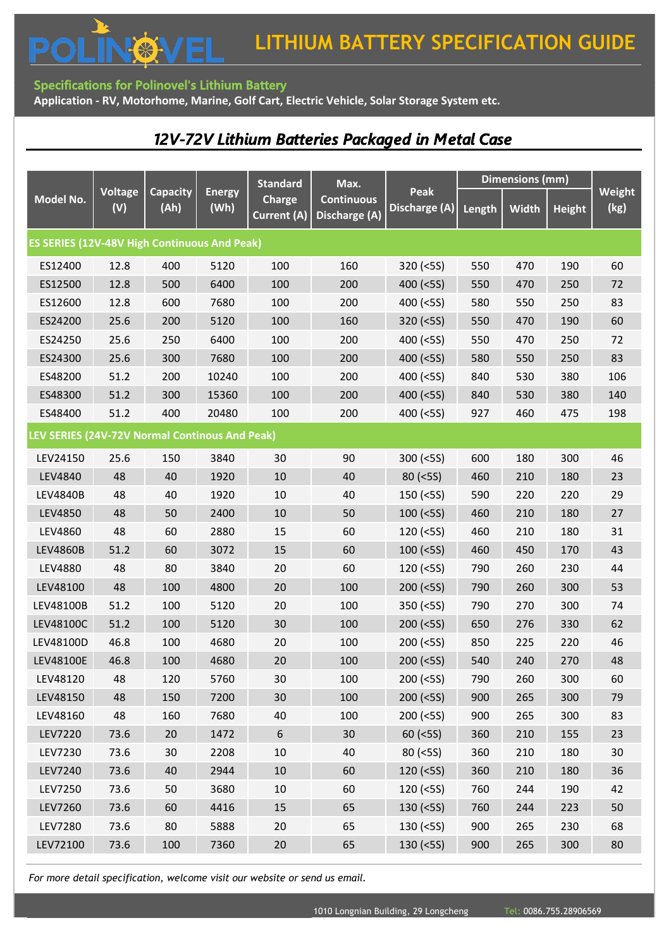# **LITHIUM BATTERY SPECIFICATION GUIDE ESTA**

### **Specifications for Polinovel's Lithium Battery**

**Application - RV, Motorhome, Marine, Golf Cart, Electric Vehicle, Solar Storage System etc.**

## *12V-72V Lithium Batteries Packaged in Metal Case*

|                                                | <b>Voltage</b><br>(V) | <b>Capacity</b><br>(Ah) | <b>Energy</b><br>(Wh) | <b>Standard</b><br>Charge<br><b>Current (A)</b> | Max.<br><b>Continuous</b><br>Discharge (A) | Peak<br>Discharge (A) | <b>Dimensions (mm)</b> |       |               |                |
|------------------------------------------------|-----------------------|-------------------------|-----------------------|-------------------------------------------------|--------------------------------------------|-----------------------|------------------------|-------|---------------|----------------|
| Model No.                                      |                       |                         |                       |                                                 |                                            |                       | Length                 | Width | <b>Height</b> | Weight<br>(kg) |
| ES SERIES (12V-48V High Continuous And Peak)   |                       |                         |                       |                                                 |                                            |                       |                        |       |               |                |
| ES12400                                        | 12.8                  | 400                     | 5120                  | 100                                             | 160                                        | 320 (< 55)            | 550                    | 470   | 190           | 60             |
| ES12500                                        | 12.8                  | 500                     | 6400                  | 100                                             | 200                                        | 400 $(<$ 5S)          | 550                    | 470   | 250           | 72             |
| ES12600                                        | 12.8                  | 600                     | 7680                  | 100                                             | 200                                        | 400 $(<$ 5S)          | 580                    | 550   | 250           | 83             |
| ES24200                                        | 25.6                  | 200                     | 5120                  | 100                                             | 160                                        | 320 (< 55)            | 550                    | 470   | 190           | 60             |
| ES24250                                        | 25.6                  | 250                     | 6400                  | 100                                             | 200                                        | 400 (<5S)             | 550                    | 470   | 250           | 72             |
| ES24300                                        | 25.6                  | 300                     | 7680                  | 100                                             | 200                                        | 400 $(<$ 5S)          | 580                    | 550   | 250           | 83             |
| ES48200                                        | 51.2                  | 200                     | 10240                 | 100                                             | 200                                        | 400 $(<$ 5S)          | 840                    | 530   | 380           | 106            |
| ES48300                                        | 51.2                  | 300                     | 15360                 | 100                                             | 200                                        | 400 $(<$ 5S)          | 840                    | 530   | 380           | 140            |
| ES48400                                        | 51.2                  | 400                     | 20480                 | 100                                             | 200                                        | 400 $(<$ 5S)          | 927                    | 460   | 475           | 198            |
| LEV SERIES (24V-72V Normal Continous And Peak) |                       |                         |                       |                                                 |                                            |                       |                        |       |               |                |
| LEV24150                                       | 25.6                  | 150                     | 3840                  | 30                                              | 90                                         | $300 (-55)$           | 600                    | 180   | 300           | 46             |
| LEV4840                                        | 48                    | 40                      | 1920                  | 10                                              | 40                                         | 80 (< 5S)             | 460                    | 210   | 180           | 23             |
| LEV4840B                                       | 48                    | 40                      | 1920                  | 10                                              | 40                                         | $150$ (<5S)           | 590                    | 220   | 220           | 29             |
| LEV4850                                        | 48                    | 50                      | 2400                  | 10                                              | 50                                         | $100 (-5S)$           | 460                    | 210   | 180           | 27             |
| LEV4860                                        | 48                    | 60                      | 2880                  | 15                                              | 60                                         | $120$ (<5S)           | 460                    | 210   | 180           | 31             |
| <b>LEV4860B</b>                                | 51.2                  | 60                      | 3072                  | 15                                              | 60                                         | $100 (=5S)$           | 460                    | 450   | 170           | 43             |
| <b>LEV4880</b>                                 | 48                    | 80                      | 3840                  | 20                                              | 60                                         | $120$ (<5S)           | 790                    | 260   | 230           | 44             |
| LEV48100                                       | 48                    | 100                     | 4800                  | 20                                              | 100                                        | $200 (-5S)$           | 790                    | 260   | 300           | 53             |
| LEV48100B                                      | 51.2                  | 100                     | 5120                  | 20                                              | 100                                        | 350 (< 5S)            | 790                    | 270   | 300           | 74             |
| LEV48100C                                      | 51.2                  | 100                     | 5120                  | 30                                              | 100                                        | $200 (=5S)$           | 650                    | 276   | 330           | 62             |
| LEV48100D                                      | 46.8                  | 100                     | 4680                  | 20                                              | 100                                        | $200 (=5S)$           | 850                    | 225   | 220           | 46             |
| LEV48100E                                      | 46.8                  | 100                     | 4680                  | 20                                              | 100                                        | $200 (=5S)$           | 540                    | 240   | 270           | 48             |
| LEV48120                                       | 48                    | 120                     | 5760                  | 30                                              | 100                                        | $200 (-5S)$           | 790                    | 260   | 300           | 60             |
| LEV48150                                       | 48                    | 150                     | 7200                  | 30                                              | 100                                        | $200 (=5S)$           | 900                    | 265   | 300           | 79             |
| LEV48160                                       | 48                    | 160                     | 7680                  | 40                                              | 100                                        | $200 (-5S)$           | 900                    | 265   | 300           | 83             |
| <b>LEV7220</b>                                 | 73.6                  | 20                      | 1472                  | 6                                               | 30                                         | 60 (< 5S)             | 360                    | 210   | 155           | 23             |
| LEV7230                                        | 73.6                  | 30                      | 2208                  | $10\,$                                          | 40                                         | 80 (< 5S)             | 360                    | 210   | 180           | $30\,$         |
| LEV7240                                        | 73.6                  | 40                      | 2944                  | 10                                              | 60                                         | $120 (=5S)$           | 360                    | 210   | 180           | 36             |
| LEV7250                                        | 73.6                  | 50                      | 3680                  | 10                                              | 60                                         | $120 (=5S)$           | 760                    | 244   | 190           | 42             |
| LEV7260                                        | 73.6                  | 60                      | 4416                  | 15                                              | 65                                         | 130 (< 5S)            | 760                    | 244   | 223           | 50             |
| <b>LEV7280</b>                                 | 73.6                  | 80                      | 5888                  | 20                                              | 65                                         | 130 (< 5S)            | 900                    | 265   | 230           | 68             |
| LEV72100                                       | 73.6                  | 100                     | 7360                  | 20                                              | 65                                         | 130 (< 5S)            | 900                    | 265   | 300           | 80             |
|                                                |                       |                         |                       |                                                 |                                            |                       |                        |       |               |                |

*For more detail specification, welcome visit our website or send us email.*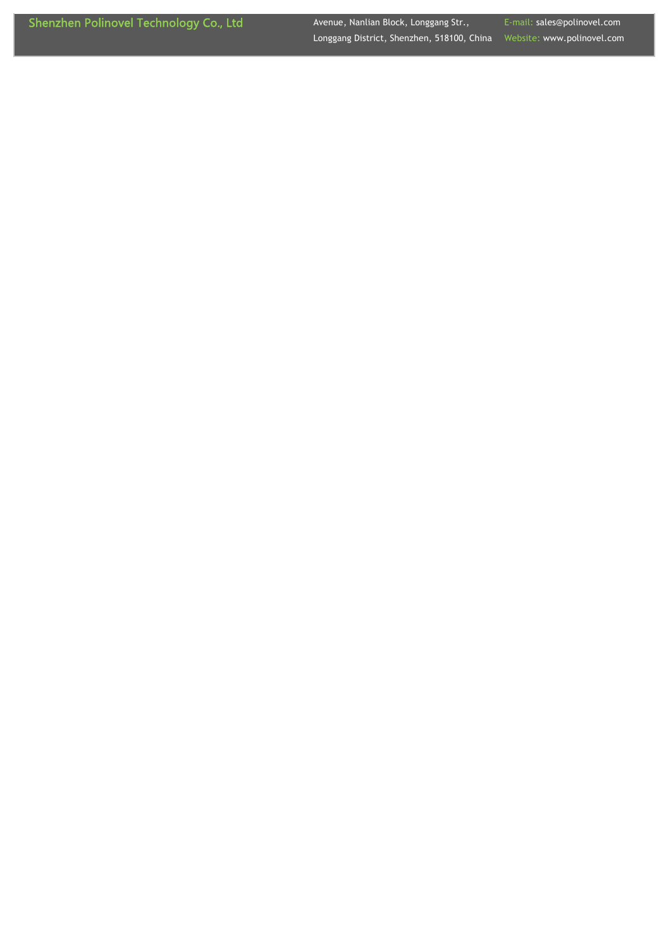Shenzhen Polinovel Technology Co., Ltd Avenue, Nanlian Block, Longgang Str., E-mail: sales@polinovel.com Longgang District, Shenzhen, 518100, China Website: www.polinovel.com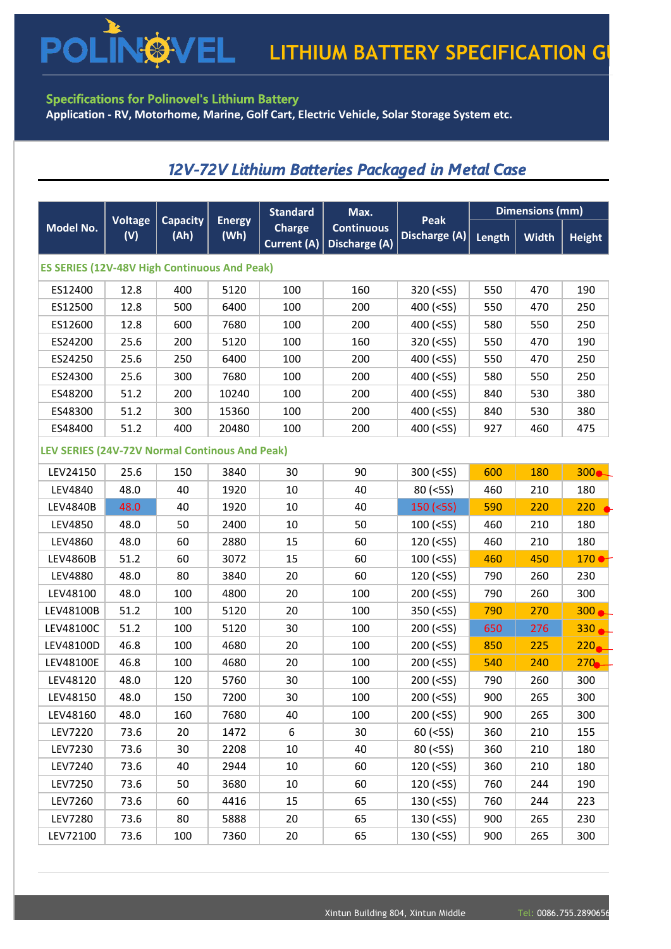**LITHIUM BATTERY SPECIFICATION GUIDE** 

### **Specifications for Polinovel's Lithium Battery**

EL

VOW

**Application - RV, Motorhome, Marine, Golf Cart, Electric Vehicle, Solar Storage System etc.**

## *12V-72V Lithium Batteries Packaged in Metal Case*

|                                                     | <b>Voltage</b> |                         |                       | <b>Standard</b>              | Max.                               | Peak          |        | <b>Dimensions (mm)</b> |                  |
|-----------------------------------------------------|----------------|-------------------------|-----------------------|------------------------------|------------------------------------|---------------|--------|------------------------|------------------|
| Model No.                                           | (V)            | <b>Capacity</b><br>(Ah) | <b>Energy</b><br>(Wh) | <b>Charge</b><br>Current (A) | <b>Continuous</b><br>Discharge (A) | Discharge (A) | Length | <b>Width</b>           | <b>Height</b>    |
| <b>ES SERIES (12V-48V High Continuous And Peak)</b> |                |                         |                       |                              |                                    |               |        |                        |                  |
| ES12400                                             | 12.8           | 400                     | 5120                  | 100                          | 160                                | 320 (<5S)     | 550    | 470                    | 190              |
| ES12500                                             | 12.8           | 500                     | 6400                  | 100                          | 200                                | 400 (<5S)     | 550    | 470                    | 250              |
| ES12600                                             | 12.8           | 600                     | 7680                  | 100                          | 200                                | 400 (<5S)     | 580    | 550                    | 250              |
| ES24200                                             | 25.6           | 200                     | 5120                  | 100                          | 160                                | 320 (<5S)     | 550    | 470                    | 190              |
| ES24250                                             | 25.6           | 250                     | 6400                  | 100                          | 200                                | 400 (<5S)     | 550    | 470                    | 250              |
| ES24300                                             | 25.6           | 300                     | 7680                  | 100                          | 200                                | 400 (<5S)     | 580    | 550                    | 250              |
| ES48200                                             | 51.2           | 200                     | 10240                 | 100                          | 200                                | 400 (<5S)     | 840    | 530                    | 380              |
| ES48300                                             | 51.2           | 300                     | 15360                 | 100                          | 200                                | 400 $(<$ 5S)  | 840    | 530                    | 380              |
| ES48400                                             | 51.2           | 400                     | 20480                 | 100                          | 200                                | $400 (-5S)$   | 927    | 460                    | 475              |
| LEV SERIES (24V-72V Normal Continous And Peak)      |                |                         |                       |                              |                                    |               |        |                        |                  |
| LEV24150                                            | 25.6           | 150                     | 3840                  | 30                           | 90                                 | $300 (-55)$   | 600    | 180                    | 300              |
| LEV4840                                             | 48.0           | 40                      | 1920                  | 10                           | 40                                 | $80$ (<5S)    | 460    | 210                    | 180              |
| LEV4840B                                            | 48.0           | 40                      | 1920                  | 10                           | 40                                 | $150$ (<5S)   | 590    | 220                    | 220              |
| LEV4850                                             | 48.0           | 50                      | 2400                  | 10                           | 50                                 | $100 (-5S)$   | 460    | 210                    | 180              |
| LEV4860                                             | 48.0           | 60                      | 2880                  | 15                           | 60                                 | 120 (<5S)     | 460    | 210                    | 180              |
| <b>LEV4860B</b>                                     | 51.2           | 60                      | 3072                  | 15                           | 60                                 | $100 (=5S)$   | 460    | 450                    | 170              |
| LEV4880                                             | 48.0           | 80                      | 3840                  | 20                           | 60                                 | 120 (<5S)     | 790    | 260                    | 230              |
| LEV48100                                            | 48.0           | 100                     | 4800                  | 20                           | 100                                | $200 (=5S)$   | 790    | 260                    | 300              |
| LEV48100B                                           | 51.2           | 100                     | 5120                  | 20                           | 100                                | 350 (<5S)     | 790    | 270                    | 300 <sub>6</sub> |
| LEV48100C                                           | 51.2           | 100                     | 5120                  | 30                           | 100                                | $200 (=5S)$   | 650    | 276                    | 330 <sub>6</sub> |
| LEV48100D                                           | 46.8           | 100                     | 4680                  | 20                           | 100                                | $200 (=5S)$   | 850    | 225                    | 220 <sub>6</sub> |
| LEV48100E                                           | 46.8           | 100                     | 4680                  | 20                           | 100                                | $200 (=5S)$   | 540    | 240                    | 270              |
| LEV48120                                            | 48.0           | 120                     | 5760                  | 30                           | 100                                | $200 (=5S)$   | 790    | 260                    | 300              |
| LEV48150                                            | 48.0           | 150                     | 7200                  | 30                           | 100                                | $200 (=5S)$   | 900    | 265                    | 300              |
| LEV48160                                            | 48.0           | 160                     | 7680                  | 40                           | 100                                | $200 (-5S)$   | 900    | 265                    | 300              |
| LEV7220                                             | 73.6           | 20                      | 1472                  | 6                            | 30                                 | 60 (< 5S)     | 360    | 210                    | 155              |
| LEV7230                                             | 73.6           | 30                      | 2208                  | 10                           | 40                                 | 80 (< 5S)     | 360    | 210                    | 180              |
| LEV7240                                             | 73.6           | 40                      | 2944                  | 10                           | 60                                 | $120$ (<5S)   | 360    | 210                    | 180              |
| LEV7250                                             | 73.6           | 50                      | 3680                  | 10                           | 60                                 | $120$ (<5S)   | 760    | 244                    | 190              |
| LEV7260                                             | 73.6           | 60                      | 4416                  | 15                           | 65                                 | $130 (-55)$   | 760    | 244                    | 223              |
| LEV7280                                             | 73.6           | 80                      | 5888                  | 20                           | 65                                 | $130 (-55)$   | 900    | 265                    | 230              |
| LEV72100                                            | 73.6           | 100                     | 7360                  | 20                           | 65                                 | 130 (< 5S)    | 900    | 265                    | 300              |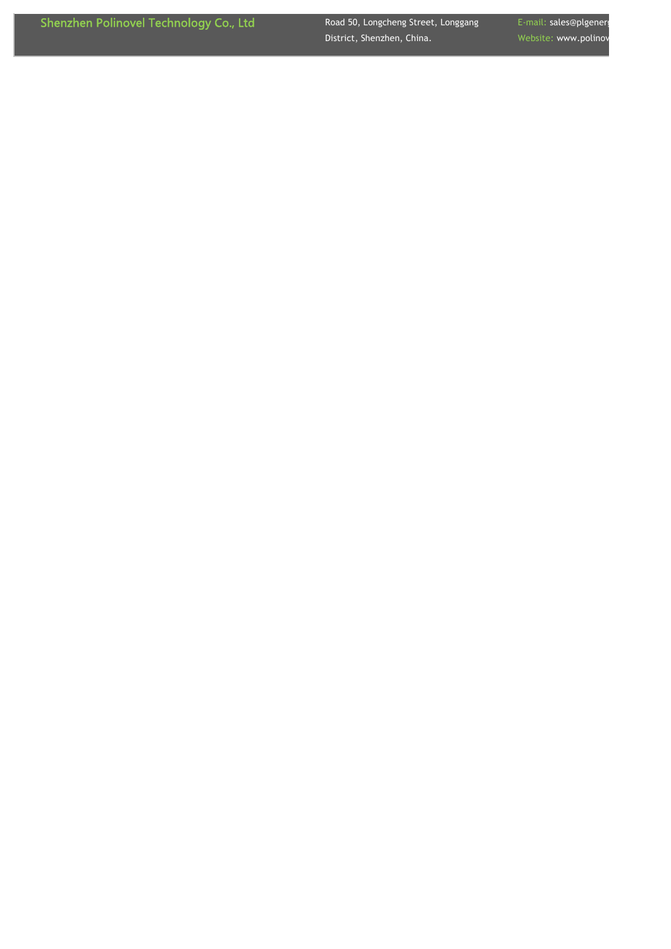District, Shenzhen, China. Website: www.polinovel.com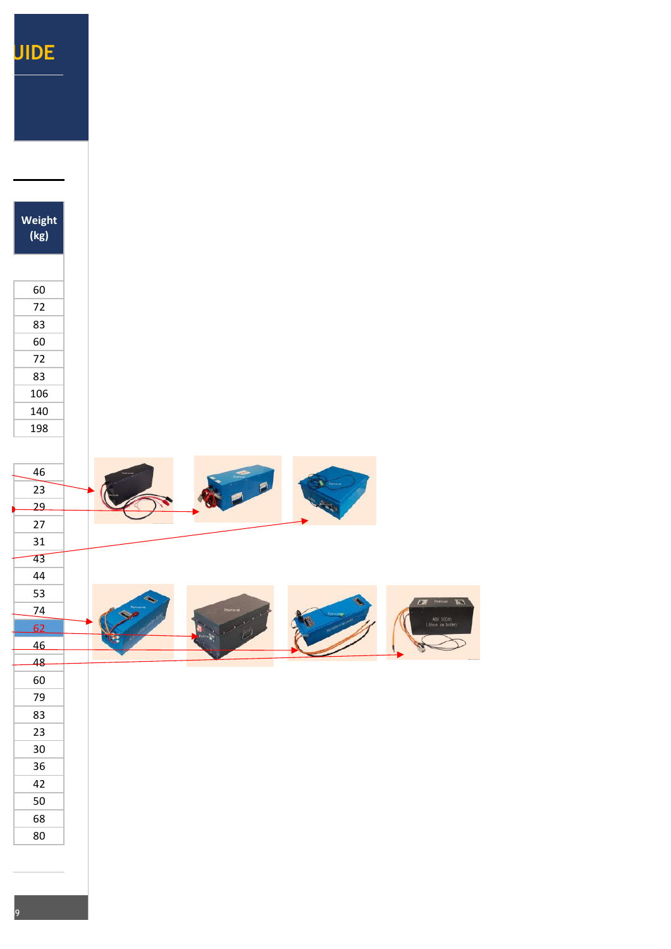| <b>UIDE</b>          |  |  |                                   |
|----------------------|--|--|-----------------------------------|
|                      |  |  |                                   |
|                      |  |  |                                   |
|                      |  |  |                                   |
|                      |  |  |                                   |
|                      |  |  |                                   |
|                      |  |  |                                   |
| Weight               |  |  |                                   |
| (kg)                 |  |  |                                   |
|                      |  |  |                                   |
| 60                   |  |  |                                   |
| $72$                 |  |  |                                   |
| 83                   |  |  |                                   |
| 60                   |  |  |                                   |
| 72                   |  |  |                                   |
| 83<br>106            |  |  |                                   |
| 140                  |  |  |                                   |
| 198                  |  |  |                                   |
|                      |  |  |                                   |
| 46                   |  |  |                                   |
| $23\,$               |  |  |                                   |
| 29<br>$27\,$         |  |  |                                   |
| 31                   |  |  |                                   |
| $\overline{43}$      |  |  |                                   |
| 44                   |  |  |                                   |
| 53<br>$\frac{74}{ }$ |  |  | <b>ART</b> National <b>EA</b>     |
| 62                   |  |  | 48V TCGAh<br>Lithium ion fastlery |
| 46                   |  |  |                                   |
| $-48$                |  |  |                                   |
| 60<br>79             |  |  |                                   |
| 83                   |  |  |                                   |
| 23                   |  |  |                                   |
| 30 <sub>o</sub>      |  |  |                                   |
| 36                   |  |  |                                   |
| 42<br>50             |  |  |                                   |
| 68                   |  |  |                                   |
| 80                   |  |  |                                   |
|                      |  |  |                                   |
|                      |  |  |                                   |

 $\overline{\phantom{0}}$